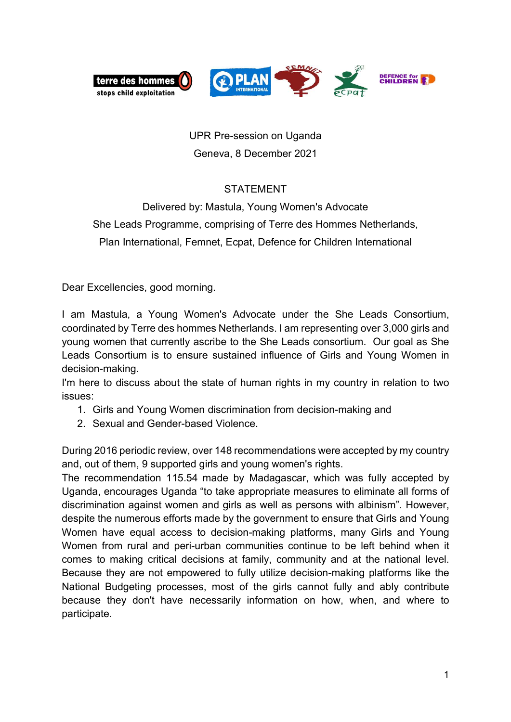

## UPR Pre-session on Uganda Geneva, 8 December 2021

## STATEMENT

## Delivered by: Mastula, Young Women's Advocate She Leads Programme, comprising of Terre des Hommes Netherlands,

Plan International, Femnet, Ecpat, Defence for Children International

Dear Excellencies, good morning.

I am Mastula, a Young Women's Advocate under the She Leads Consortium, coordinated by Terre des hommes Netherlands. I am representing over 3,000 girls and young women that currently ascribe to the She Leads consortium. Our goal as She Leads Consortium is to ensure sustained influence of Girls and Young Women in decision-making.

I'm here to discuss about the state of human rights in my country in relation to two issues:

- 1. Girls and Young Women discrimination from decision-making and
- 2. Sexual and Gender-based Violence.

During 2016 periodic review, over 148 recommendations were accepted by my country and, out of them, 9 supported girls and young women's rights.

The recommendation 115.54 made by Madagascar, which was fully accepted by Uganda, encourages Uganda "to take appropriate measures to eliminate all forms of discrimination against women and girls as well as persons with albinism". However, despite the numerous efforts made by the government to ensure that Girls and Young Women have equal access to decision-making platforms, many Girls and Young Women from rural and peri-urban communities continue to be left behind when it comes to making critical decisions at family, community and at the national level. Because they are not empowered to fully utilize decision-making platforms like the National Budgeting processes, most of the girls cannot fully and ably contribute because they don't have necessarily information on how, when, and where to participate.